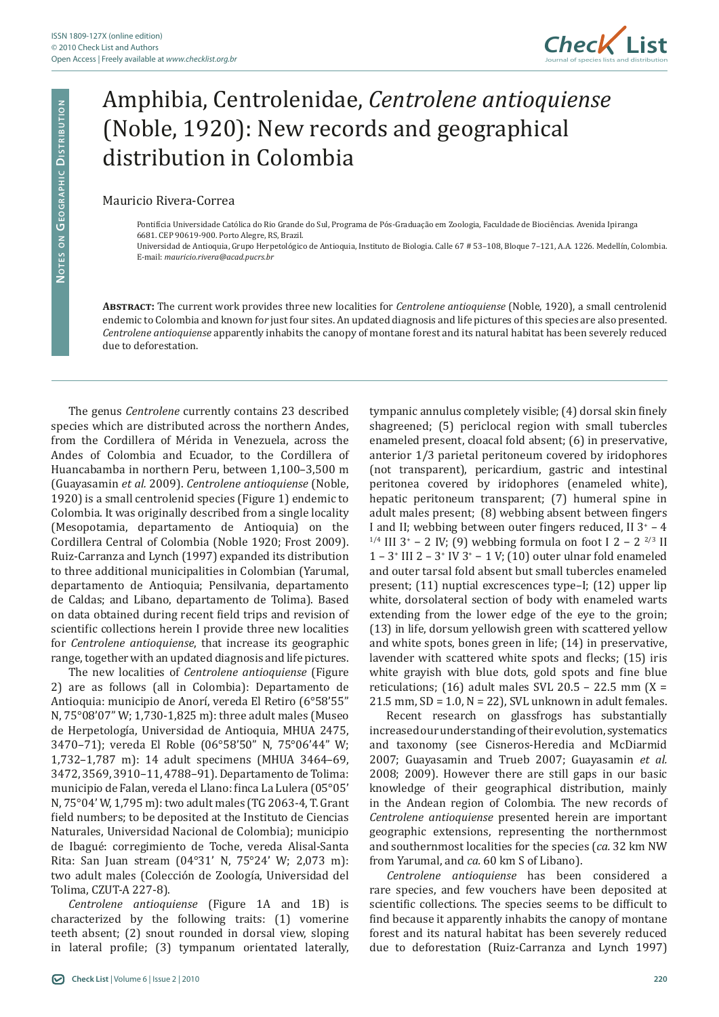

## Amphibia, Centrolenidae, *Centrolene antioquiense* (Noble, 1920): New records and geographical distribution in Colombia

Mauricio Rivera-Correa

Pontifícia Universidade Católica do Rio Grande do Sul, Programa de Pós-Graduação em Zoologia, Faculdade de Biociências. Avenida Ipiranga 6681. CEP 90619-900. Porto Alegre, RS, Brazil.

Universidad de Antioquia, Grupo Herpetológico de Antioquia, Instituto de Biologia. Calle 67 # 53–108, Bloque 7–121, A.A. 1226. Medellín, Colombia. E-mail: *mauricio.rivera@acad.pucrs.br*

**Abstract:** The current work provides three new localities for *Centrolene antioquiense* (Noble, 1920), a small centrolenid endemic to Colombia and known fo*r* just four sites. An updated diagnosis and life pictures of this species are also presented. *Centrolene antioquiense* apparently inhabits the canopy of montane forest and its natural habitat has been severely reduced due to deforestation.

The genus *Centrolene* currently contains 23 described species which are distributed across the northern Andes, from the Cordillera of Mérida in Venezuela, across the Andes of Colombia and Ecuador, to the Cordillera of Huancabamba in northern Peru, between 1,100–3,500 m (Guayasamin *et al.* 2009). *Centrolene antioquiense* (Noble, 1920) is a small centrolenid species (Figure 1) endemic to Colombia. It was originally described from a single locality (Mesopotamia, departamento de Antioquia) on the Cordillera Central of Colombia (Noble 1920; Frost 2009). Ruiz-Carranza and Lynch (1997) expanded its distribution to three additional municipalities in Colombian (Yarumal, departamento de Antioquia; Pensilvania, departamento de Caldas; and Libano, departamento de Tolima). Based on data obtained during recent field trips and revision of scientific collections herein I provide three new localities for *Centrolene antioquiense*, that increase its geographic range, together with an updated diagnosis and life pictures.

The new localities of *Centrolene antioquiense* (Figure 2) are as follows (all in Colombia): Departamento de Antioquia: municipio de Anorí, vereda El Retiro (6°58'55" N, 75°08'07" W; 1,730-1,825 m): three adult males (Museo de Herpetología, Universidad de Antioquia, MHUA 2475, 3470–71); vereda El Roble (06°58'50" N, 75°06'44" W; 1,732–1,787 m): 14 adult specimens (MHUA 3464–69, 3472, 3569, 3910–11, 4788–91). Departamento de Tolima: municipio de Falan, vereda el Llano: finca La Lulera (05°05' N, 75°04' W, 1,795 m): two adult males (TG 2063-4, T. Grant field numbers; to be deposited at the Instituto de Ciencias Naturales, Universidad Nacional de Colombia); municipio de Ibagué: corregimiento de Toche, vereda Alisal-Santa Rita: San Juan stream (04°31' N, 75°24' W; 2,073 m): two adult males (Colección de Zoología, Universidad del Tolima, CZUT-A 227-8).

*Centrolene antioquiense* (Figure 1A and 1B) is characterized by the following traits: (1) vomerine teeth absent; (2) snout rounded in dorsal view, sloping in lateral profile; (3) tympanum orientated laterally, tympanic annulus completely visible; (4) dorsal skin finely shagreened; (5) periclocal region with small tubercles enameled present, cloacal fold absent; (6) in preservative, anterior 1/3 parietal peritoneum covered by iridophores (not transparent), pericardium, gastric and intestinal peritonea covered by iridophores (enameled white), hepatic peritoneum transparent; (7) humeral spine in adult males present; (8) webbing absent between fingers I and II; webbing between outer fingers reduced, II  $3^*$  – 4 <sup>1/4</sup> III 3<sup>+</sup> – 2 IV; (9) webbing formula on foot I 2 – 2<sup>2/3</sup> II  $1 - 3$ <sup>\*</sup> III  $2 - 3$ <sup>\*</sup> IV  $3$ <sup>\*</sup>  $- 1$  V; (10) outer ulnar fold enameled and outer tarsal fold absent but small tubercles enameled present; (11) nuptial excrescences type–I; (12) upper lip white, dorsolateral section of body with enameled warts extending from the lower edge of the eye to the groin; (13) in life, dorsum yellowish green with scattered yellow and white spots, bones green in life; (14) in preservative, lavender with scattered white spots and flecks; (15) iris white grayish with blue dots, gold spots and fine blue reticulations; (16) adult males SVL 20.5 – 22.5 mm (X = 21.5 mm,  $SD = 1.0$ ,  $N = 22$ ), SVL unknown in adult females.

Recent research on glassfrogs has substantially increased our understanding of their evolution, systematics and taxonomy (see Cisneros-Heredia and McDiarmid 2007; Guayasamin and Trueb 2007; Guayasamin *et al.* 2008; 2009). However there are still gaps in our basic knowledge of their geographical distribution, mainly in the Andean region of Colombia. The new records of *Centrolene antioquiense* presented herein are important geographic extensions, representing the northernmost and southernmost localities for the species (*ca.* 32 km NW from Yarumal, and *ca.* 60 km S of Libano).

*Centrolene antioquiense* has been considered a rare species, and few vouchers have been deposited at scientific collections. The species seems to be difficult to find because it apparently inhabits the canopy of montane forest and its natural habitat has been severely reduced due to deforestation (Ruiz-Carranza and Lynch 1997)